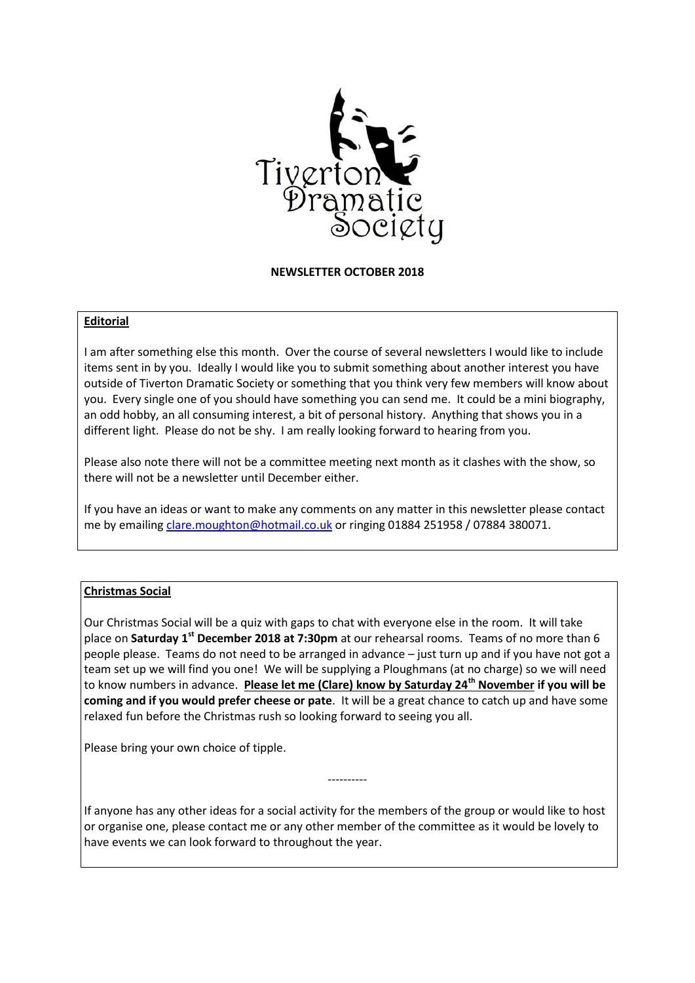

## **NEWSLETTER OCTOBER 2018**

#### **Editorial**

I am after something else this month. Over the course of several newsletters I would like to include items sent in by you. Ideally I would like you to submit something about another interest you have outside of Tiverton Dramatic Society or something that you think very few members will know about you. Every single one of you should have something you can send me. It could be a mini biography, an odd hobby, an all consuming interest, a bit of personal history. Anything that shows you in a different light. Please do not be shy. I am really looking forward to hearing from you.

Please also note there will not be a committee meeting next month as it clashes with the show, so there will not be a newsletter until December either.

If you have an ideas or want to make any comments on any matter in this newsletter please contact me by emailin[g clare.moughton@hotmail.co.uk](mailto:clare.moughton@hotmail.co.uk) or ringing 01884 251958 / 07884 380071.

## **Christmas Social**

Our Christmas Social will be a quiz with gaps to chat with everyone else in the room. It will take place on **Saturday 1st December 2018 at 7:30pm** at our rehearsal rooms. Teams of no more than 6 people please. Teams do not need to be arranged in advance – just turn up and if you have not got a team set up we will find you one! We will be supplying a Ploughmans (at no charge) so we will need to know numbers in advance. **Please let me (Clare) know by Saturday 24th November if you will be coming and if you would prefer cheese or pate**. It will be a great chance to catch up and have some relaxed fun before the Christmas rush so looking forward to seeing you all.

Please bring your own choice of tipple.

If anyone has any other ideas for a social activity for the members of the group or would like to host or organise one, please contact me or any other member of the committee as it would be lovely to have events we can look forward to throughout the year.

----------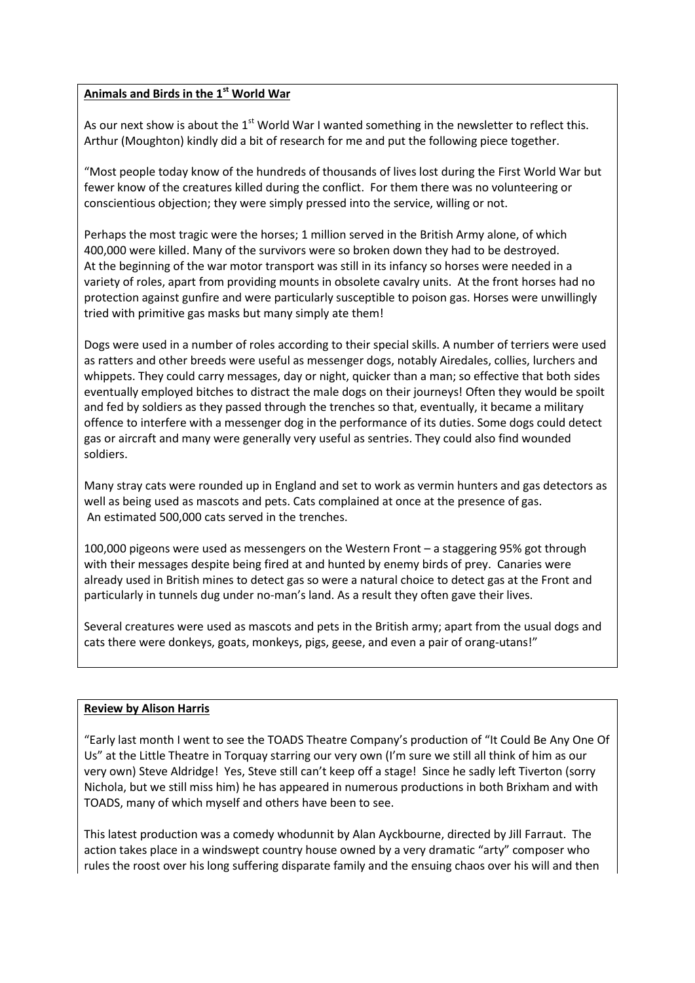# **Animals and Birds in the 1st World War**

As our next show is about the  $1<sup>st</sup>$  World War I wanted something in the newsletter to reflect this. Arthur (Moughton) kindly did a bit of research for me and put the following piece together.

"Most people today know of the hundreds of thousands of lives lost during the First World War but fewer know of the creatures killed during the conflict. For them there was no volunteering or conscientious objection; they were simply pressed into the service, willing or not.

Perhaps the most tragic were the horses; 1 million served in the British Army alone, of which 400,000 were killed. Many of the survivors were so broken down they had to be destroyed. At the beginning of the war motor transport was still in its infancy so horses were needed in a variety of roles, apart from providing mounts in obsolete cavalry units. At the front horses had no protection against gunfire and were particularly susceptible to poison gas. Horses were unwillingly tried with primitive gas masks but many simply ate them!

Dogs were used in a number of roles according to their special skills. A number of terriers were used as ratters and other breeds were useful as messenger dogs, notably Airedales, collies, lurchers and whippets. They could carry messages, day or night, quicker than a man; so effective that both sides eventually employed bitches to distract the male dogs on their journeys! Often they would be spoilt and fed by soldiers as they passed through the trenches so that, eventually, it became a military offence to interfere with a messenger dog in the performance of its duties. Some dogs could detect gas or aircraft and many were generally very useful as sentries. They could also find wounded soldiers.

Many stray cats were rounded up in England and set to work as vermin hunters and gas detectors as well as being used as mascots and pets. Cats complained at once at the presence of gas. An estimated 500,000 cats served in the trenches.

100,000 pigeons were used as messengers on the Western Front – a staggering 95% got through with their messages despite being fired at and hunted by enemy birds of prey. Canaries were already used in British mines to detect gas so were a natural choice to detect gas at the Front and particularly in tunnels dug under no-man's land. As a result they often gave their lives.

Several creatures were used as mascots and pets in the British army; apart from the usual dogs and cats there were donkeys, goats, monkeys, pigs, geese, and even a pair of orang-utans!"

## **Review by Alison Harris**

"Early last month I went to see the TOADS Theatre Company's production of "It Could Be Any One Of Us" at the Little Theatre in Torquay starring our very own (I'm sure we still all think of him as our very own) Steve Aldridge! Yes, Steve still can't keep off a stage! Since he sadly left Tiverton (sorry Nichola, but we still miss him) he has appeared in numerous productions in both Brixham and with TOADS, many of which myself and others have been to see.

This latest production was a comedy whodunnit by Alan Ayckbourne, directed by Jill Farraut. The action takes place in a windswept country house owned by a very dramatic "arty" composer who rules the roost over his long suffering disparate family and the ensuing chaos over his will and then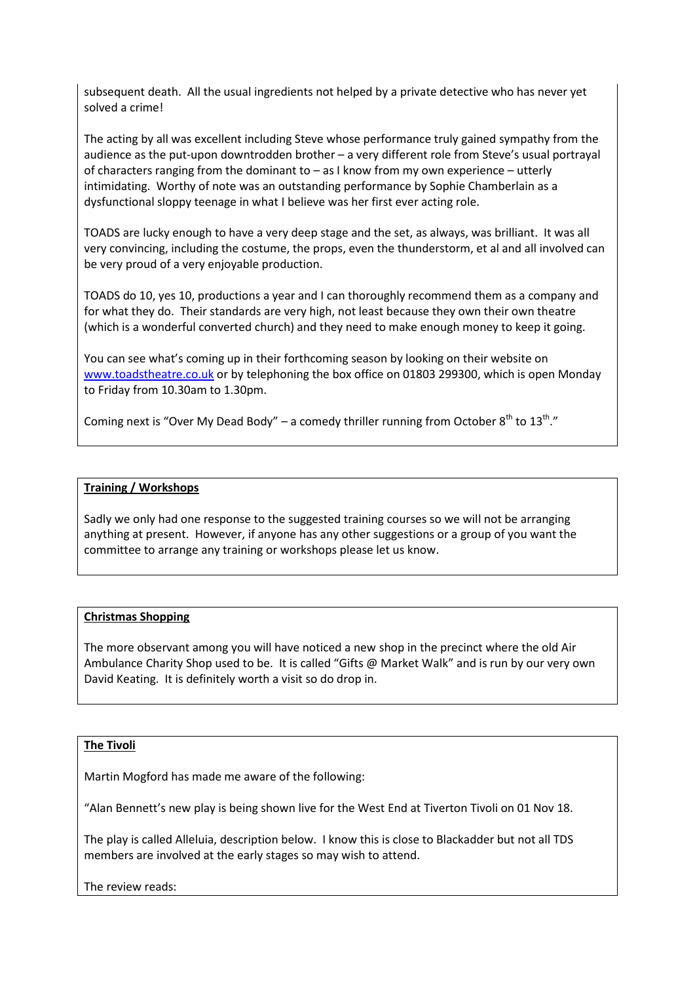subsequent death. All the usual ingredients not helped by a private detective who has never yet solved a crime!

The acting by all was excellent including Steve whose performance truly gained sympathy from the audience as the put-upon downtrodden brother – a very different role from Steve's usual portrayal of characters ranging from the dominant to – as I know from my own experience – utterly intimidating. Worthy of note was an outstanding performance by Sophie Chamberlain as a dysfunctional sloppy teenage in what I believe was her first ever acting role.

TOADS are lucky enough to have a very deep stage and the set, as always, was brilliant. It was all very convincing, including the costume, the props, even the thunderstorm, et al and all involved can be very proud of a very enjoyable production.

TOADS do 10, yes 10, productions a year and I can thoroughly recommend them as a company and for what they do. Their standards are very high, not least because they own their own theatre (which is a wonderful converted church) and they need to make enough money to keep it going.

You can see what's coming up in their forthcoming season by looking on their website on [www.toadstheatre.co.uk](http://www.toadstheatre.co.uk/) or by telephoning the box office on 01803 299300, which is open Monday to Friday from 10.30am to 1.30pm.

Coming next is "Over My Dead Body" – a comedy thriller running from October  $8^{th}$  to  $13^{th}$ ."

## **Training / Workshops**

Sadly we only had one response to the suggested training courses so we will not be arranging anything at present. However, if anyone has any other suggestions or a group of you want the committee to arrange any training or workshops please let us know.

## **Christmas Shopping**

The more observant among you will have noticed a new shop in the precinct where the old Air Ambulance Charity Shop used to be. It is called "Gifts @ Market Walk" and is run by our very own David Keating. It is definitely worth a visit so do drop in.

## **The Tivoli**

Martin Mogford has made me aware of the following:

"Alan Bennett's new play is being shown live for the West End at Tiverton Tivoli on 01 Nov 18.

The play is called Alleluia, description below. I know this is close to Blackadder but not all TDS members are involved at the early stages so may wish to attend.

The review reads: